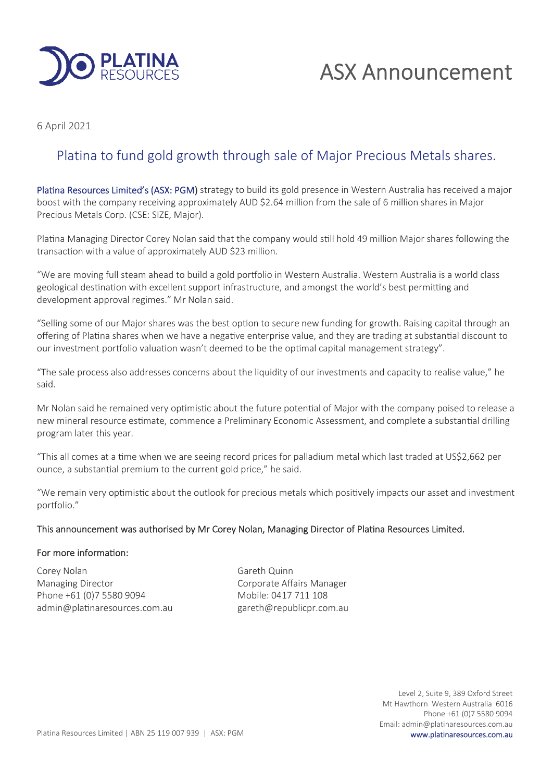

# ASX Announcement

6 April 2021

## Platina to fund gold growth through sale of Major Precious Metals shares.

Platina Resources Limited's (ASX: PGM) strategy to build its gold presence in Western Australia has received a major boost with the company receiving approximately AUD \$2.64 million from the sale of 6 million shares in Major Precious Metals Corp. (CSE: SIZE, Major).

Platina Managing Director Corey Nolan said that the company would still hold 49 million Major shares following the transaction with a value of approximately AUD \$23 million.

"We are moving full steam ahead to build a gold portfolio in Western Australia. Western Australia is a world class geological destination with excellent support infrastructure, and amongst the world's best permitting and development approval regimes." Mr Nolan said.

"Selling some of our Major shares was the best option to secure new funding for growth. Raising capital through an offering of Platina shares when we have a negative enterprise value, and they are trading at substantial discount to our investment portfolio valuation wasn't deemed to be the optimal capital management strategy".

"The sale process also addresses concerns about the liquidity of our investments and capacity to realise value," he said.

Mr Nolan said he remained very optimistic about the future potential of Major with the company poised to release a new mineral resource estimate, commence a Preliminary Economic Assessment, and complete a substantial drilling program later this year.

"This all comes at a time when we are seeing record prices for palladium metal which last traded at US\$2,662 per ounce, a substantial premium to the current gold price," he said.

"We remain very optimistic about the outlook for precious metals which positively impacts our asset and investment portfolio."

### This announcement was authorised by Mr Corey Nolan, Managing Director of Platina Resources Limited.

### For more information:

Corey Nolan Gareth Quinn Managing Director **Communist Communist Communist Communist Communist Communist Communist Communist Communist Communist Communist Communist Communist Communist Communist Communist Communist Communist Communist Communist Com** Phone +61 (0)7 5580 9094 Mobile: 0417 711 108 admin@platinaresources.com.au gareth@republicpr.com.au